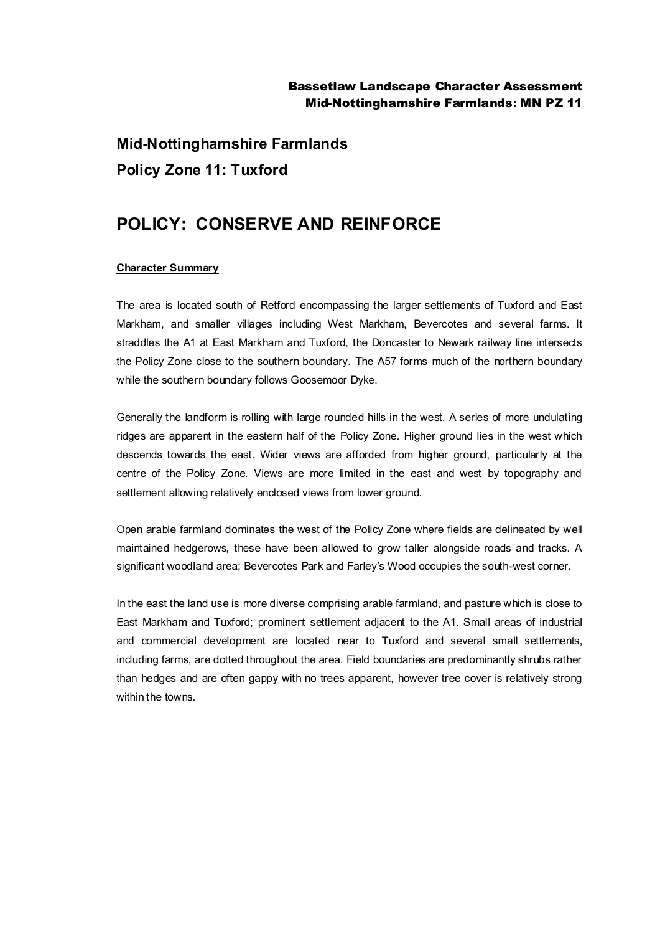## Bassetlaw Landscape Character Assessment Mid-Nottinghamshire Farmlands: MN PZ 11

**Mid-Nottinghamshire Farmlands Policy Zone 11: Tuxford**

## **POLICY: CONSERVE AND REINFORCE**

## **Character Summary**

The area is located south of Retford encompassing the larger settlements of Tuxford and East Markham, and smaller villages including West Markham, Bevercotes and several farms. It straddles the A1 at East Markham and Tuxford, the Doncaster to Newark railway line intersects the Policy Zone close to the southern boundary. The A57 forms much of the northern boundary while the southern boundary follows Goosemoor Dyke.

Generally the landform is rolling with large rounded hills in the west. A series of more undulating ridges are apparent in the eastern half of the Policy Zone. Higher ground lies in the west which descends towards the east. Wider views are afforded from higher ground, particularly at the centre of the Policy Zone. Views are more limited in the east and west by topography and settlement allowing relatively enclosed views from lower ground.

Open arable farmland dominates the west of the Policy Zone where fields are delineated by well maintained hedgerows, these have been allowed to grow taller alongside roads and tracks. A significant woodland area; Bevercotes Park and Farley's Wood occupies the south-west corner.

In the east the land use is more diverse comprising arable farmland, and pasture which is close to East Markham and Tuxford; prominent settlement adjacent to the A1. Small areas of industrial and commercial development are located near to Tuxford and several small settlements, including farms, are dotted throughout the area. Field boundaries are predominantly shrubs rather than hedges and are often gappy with no trees apparent, however tree cover is relatively strong within the towns.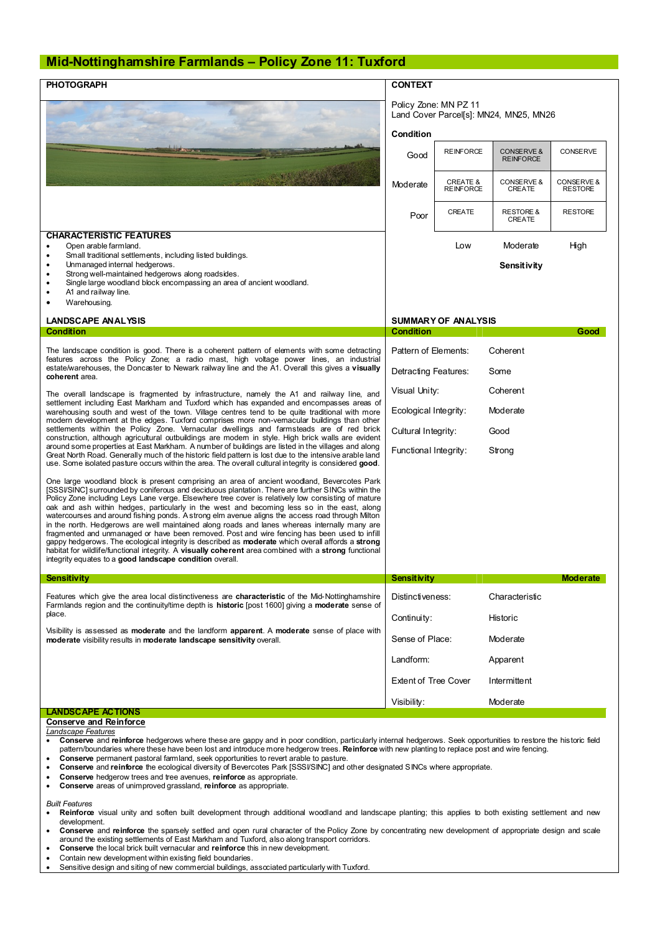## **Mid-Nottinghamshire Farmlands – Policy Zone 11: Tuxford**

| <b>PHOTOGRAPH</b>                                                                                                                                                                                                                                                                                                                                                                                                                                                                                                                                                                                                                                                                                                                                                                                                                                                                                                                                                                           | <b>CONTEXT</b><br>Policy Zone: MN PZ 11<br>Land Cover Parcel[s]: MN24, MN25, MN26 |                                         |                                           |                              |
|---------------------------------------------------------------------------------------------------------------------------------------------------------------------------------------------------------------------------------------------------------------------------------------------------------------------------------------------------------------------------------------------------------------------------------------------------------------------------------------------------------------------------------------------------------------------------------------------------------------------------------------------------------------------------------------------------------------------------------------------------------------------------------------------------------------------------------------------------------------------------------------------------------------------------------------------------------------------------------------------|-----------------------------------------------------------------------------------|-----------------------------------------|-------------------------------------------|------------------------------|
|                                                                                                                                                                                                                                                                                                                                                                                                                                                                                                                                                                                                                                                                                                                                                                                                                                                                                                                                                                                             |                                                                                   |                                         |                                           |                              |
|                                                                                                                                                                                                                                                                                                                                                                                                                                                                                                                                                                                                                                                                                                                                                                                                                                                                                                                                                                                             | Condition<br>Good                                                                 | <b>REINFORCE</b>                        | <b>CONSERVE &amp;</b><br><b>REINFORCE</b> | <b>CONSERVE</b>              |
|                                                                                                                                                                                                                                                                                                                                                                                                                                                                                                                                                                                                                                                                                                                                                                                                                                                                                                                                                                                             | Moderate                                                                          | <b>CREATE &amp;</b><br><b>REINFORCE</b> | CONSERVE &<br>CREATE                      | CONSERVE &<br><b>RESTORE</b> |
|                                                                                                                                                                                                                                                                                                                                                                                                                                                                                                                                                                                                                                                                                                                                                                                                                                                                                                                                                                                             | Poor                                                                              | CREATE                                  | <b>RESTORE &amp;</b><br>CREATE            | <b>RESTORE</b>               |
| <b>CHARACTERISTIC FEATURES</b><br>Open arable farmland.<br>Small traditional settlements, including listed buildings.<br>$\bullet$<br>Unmanaged internal hedgerows.<br>Strong well-maintained hedgerows along roadsides.<br>Single large woodland block encompassing an area of ancient woodland.<br>A1 and railway line.<br>Warehousing.<br>$\bullet$                                                                                                                                                                                                                                                                                                                                                                                                                                                                                                                                                                                                                                      |                                                                                   | Low                                     | Moderate<br>Sensitivity                   | High                         |
| <b>LANDSCAPE ANALYSIS</b>                                                                                                                                                                                                                                                                                                                                                                                                                                                                                                                                                                                                                                                                                                                                                                                                                                                                                                                                                                   | <b>SUMMARY OF ANALYSIS</b>                                                        |                                         |                                           |                              |
| <b>Condition</b>                                                                                                                                                                                                                                                                                                                                                                                                                                                                                                                                                                                                                                                                                                                                                                                                                                                                                                                                                                            | <b>Condition</b>                                                                  |                                         |                                           | Good                         |
| The landscape condition is good. There is a coherent pattern of elements with some detracting<br>features across the Policy Zone; a radio mast, high voltage power lines, an industrial<br>estate/warehouses, the Doncaster to Newark railway line and the A1. Overall this gives a visually<br>coherent area.                                                                                                                                                                                                                                                                                                                                                                                                                                                                                                                                                                                                                                                                              | Pattern of Elements:<br>Detracting Features:                                      |                                         | Coherent<br>Some                          |                              |
| The overall landscape is fragmented by infrastructure, namely the A1 and railway line, and                                                                                                                                                                                                                                                                                                                                                                                                                                                                                                                                                                                                                                                                                                                                                                                                                                                                                                  | Visual Unity:                                                                     |                                         | Coherent                                  |                              |
| settlement including East Markham and Tuxford which has expanded and encompasses areas of<br>warehousing south and west of the town. Village centres tend to be quite traditional with more<br>modern development at the edges. Tuxford comprises more non-vemacular buildings than other                                                                                                                                                                                                                                                                                                                                                                                                                                                                                                                                                                                                                                                                                                   | Ecological Integrity:                                                             |                                         | Moderate                                  |                              |
| settlements within the Policy Zone. Vernacular dwellings and farmsteads are of red brick<br>construction, although agricultural outbuildings are modem in style. High brick walls are evident                                                                                                                                                                                                                                                                                                                                                                                                                                                                                                                                                                                                                                                                                                                                                                                               | Cultural Integrity:                                                               |                                         | Good                                      |                              |
| around some properties at East Markham. A number of buildings are listed in the villages and along<br>Great North Road. Generally much of the historic field pattern is lost due to the intensive arable land<br>use. Some isolated pasture occurs within the area. The overall cultural integrity is considered good.                                                                                                                                                                                                                                                                                                                                                                                                                                                                                                                                                                                                                                                                      | Functional Integrity:                                                             |                                         | Strong                                    |                              |
| One large woodland block is present comprising an area of ancient woodland, Bevercotes Park<br>[SSSI/SINC] surrounded by coniferous and deciduous plantation. There are further SINCs within the<br>Policy Zone including Leys Lane verge. Elsewhere tree cover is relatively low consisting of mature<br>oak and ash within hedges, particularly in the west and becoming less so in the east, along<br>watercourses and around fishing ponds. A strong elm avenue aligns the access road through Milton<br>in the north. Hedgerows are well maintained along roads and lanes whereas internally many are<br>fragmented and unmanaged or have been removed. Post and wire fencing has been used to infill<br>gappy hedgerows. The ecological integrity is described as <b>moderate</b> which overall affords a strong<br>habitat for wildlife/functional integrity. A visually coherent area combined with a strong functional<br>integrity equates to a good landscape condition overall. |                                                                                   |                                         |                                           |                              |
| <b>Sensitivity</b>                                                                                                                                                                                                                                                                                                                                                                                                                                                                                                                                                                                                                                                                                                                                                                                                                                                                                                                                                                          | <b>Sensitivity</b>                                                                |                                         |                                           | <b>Moderate</b>              |
| Features which give the area local distinctiveness are characteristic of the Mid-Nottinghamshire<br>Farmlands region and the continuity/time depth is historic [post 1600] giving a moderate sense of                                                                                                                                                                                                                                                                                                                                                                                                                                                                                                                                                                                                                                                                                                                                                                                       | Distinctiveness:                                                                  |                                         | Characteristic                            |                              |
| place.<br>Visibility is assessed as <b>moderate</b> and the landform <b>apparent</b> . A <b>moderate</b> sense of place with<br>moderate visibility results in moderate landscape sensitivity overall.                                                                                                                                                                                                                                                                                                                                                                                                                                                                                                                                                                                                                                                                                                                                                                                      | Continuity:                                                                       |                                         | Historic                                  |                              |
|                                                                                                                                                                                                                                                                                                                                                                                                                                                                                                                                                                                                                                                                                                                                                                                                                                                                                                                                                                                             | Sense of Place:                                                                   |                                         | Moderate                                  |                              |
|                                                                                                                                                                                                                                                                                                                                                                                                                                                                                                                                                                                                                                                                                                                                                                                                                                                                                                                                                                                             | Landform:                                                                         |                                         | Apparent                                  |                              |
|                                                                                                                                                                                                                                                                                                                                                                                                                                                                                                                                                                                                                                                                                                                                                                                                                                                                                                                                                                                             | <b>Extent of Tree Cover</b>                                                       |                                         | Intermittent                              |                              |
| <b>LANDSCAPE ACTIONS</b>                                                                                                                                                                                                                                                                                                                                                                                                                                                                                                                                                                                                                                                                                                                                                                                                                                                                                                                                                                    | Visibility:                                                                       |                                         | Moderate                                  |                              |
| <b>Conserve and Reinforce</b><br>Landscape Features<br>• Conserve and reinforce hedgerows where these are gappy and in poor condition, particularly internal hedgerows. Seek opportunities to restore the historic field<br>pattern/boundaries where these have been lost and introduce more hedgerow trees. Reinforce with new planting to replace post and wire fencing.<br>Conserve permanent pastoral familand, seek opportunities to revert arable to pasture.<br>٠<br>Conserve and reinforce the ecological diversity of Bevercotes Park [SSSI/SINC] and other designated SINCs where appropriate.<br>$\bullet$<br><b>Conserve</b> hedgerow trees and tree avenues, reinforce as appropriate.<br>٠<br>Conserve areas of unimproved grassland, reinforce as appropriate.<br>$\bullet$                                                                                                                                                                                                  |                                                                                   |                                         |                                           |                              |

*Built Features*

- · **Reinforce** visual unity and soften built development through additional woodland and landscape planting; this applies to both existing settlement and new development.
- · **Conserve** and **reinforce** the sparsely settled and open rural character of the Policy Zone by concentrating new development of appropriate design and scale around the existing settlements of East Markham and Tuxford, also along transport corridors. · **Conserve** the local brick built vernacular and **reinforce** this in new development.
- 
- Contain new development within existing field boundaries.<br>• Sensitive design and siting of new commercial buildings and
- Sensitive design and siting of new commercial buildings, associated particularly with Tuxford.